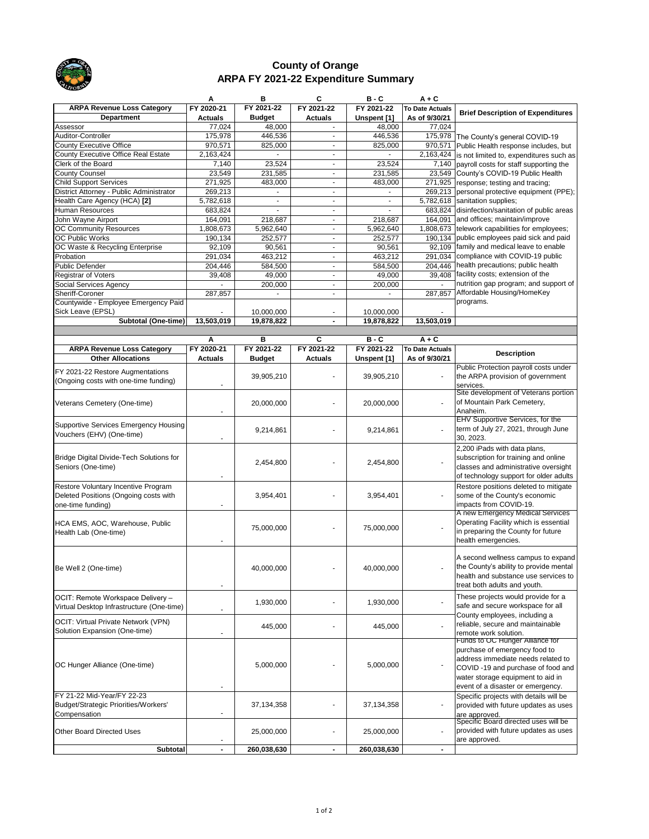| حسه                                                                          | А                  | В                        | C                        | $B - C$            | $A + C$                  |                                                                                            |
|------------------------------------------------------------------------------|--------------------|--------------------------|--------------------------|--------------------|--------------------------|--------------------------------------------------------------------------------------------|
| <b>ARPA Revenue Loss Category</b>                                            | FY 2020-21         | FY 2021-22               | FY 2021-22               | FY 2021-22         | <b>To Date Actuals</b>   |                                                                                            |
| <b>Department</b>                                                            | <b>Actuals</b>     | <b>Budget</b>            | <b>Actuals</b>           | Unspent [1]        | As of 9/30/21            | <b>Brief Description of Expenditures</b>                                                   |
| Assessor                                                                     | 77,024             | 48,000                   |                          | 48,000             | 77,024                   |                                                                                            |
| Auditor-Controller                                                           | 175,978            | 446,536                  | $\overline{\phantom{a}}$ | 446,536            |                          | 175,978 The County's general COVID-19                                                      |
| County Executive Office                                                      | 970,571            | 825,000                  | $\blacksquare$           | 825,000            |                          | 970,571 Public Health response includes, but                                               |
| County Executive Office Real Estate                                          | 2,163,424          |                          | $\overline{\phantom{a}}$ |                    |                          | 2,163,424 $\vert$ is not limited to, expenditures such as                                  |
| <b>Clerk of the Board</b>                                                    | 7,140              | 23,524                   | $\overline{\phantom{a}}$ | 23,524             |                          | 7,140 payroll costs for staff supporting the                                               |
| <b>County Counsel</b>                                                        | 23,549             | 231,585                  |                          | 231,585            | 23,549                   | County's COVID-19 Public Health                                                            |
| <b>Child Support Services</b>                                                | 271,925            | 483,000                  | $\overline{\phantom{a}}$ | 483,000            |                          | 271,925   response; testing and tracing;                                                   |
| District Attorney - Public Administrator                                     | 269,213            |                          | $\overline{\phantom{a}}$ |                    |                          | 269,213   personal protective equipment (PPE);                                             |
| Health Care Agency (HCA) [2]                                                 | 5,782,618          | $\overline{\phantom{a}}$ | $\blacksquare$           |                    |                          | 5,782,618 Sanitation supplies;                                                             |
| Human Resources                                                              | 683,824            |                          | $\overline{\phantom{a}}$ |                    |                          | 683,824 disinfection/sanitation of public areas                                            |
| John Wayne Airport                                                           | 164,091            | 218,687                  |                          | 218,687            | 164,091                  | and offices; maintain/improve                                                              |
| <b>OC Community Resources</b>                                                | 1,808,673          | 5,962,640                | $\blacksquare$           | 5,962,640          |                          | 1,808,673 ltelework capabilities for employees;                                            |
| <b>OC Public Works</b>                                                       | 190,134            | 252,577                  | $\blacksquare$           | 252,577            |                          | 190,134 public employees paid sick and paid<br>92,109   family and medical leave to enable |
| OC Waste & Recycling Enterprise                                              | 92,109             | 90,561                   | $\blacksquare$           | 90,561             |                          | 291,034 Compliance with COVID-19 public                                                    |
| Probation<br>Public Defender                                                 | 291,034<br>204,446 | 463,212                  | $\overline{\phantom{a}}$ | 463,212            |                          | 204,446 health precautions; public health                                                  |
| <b>Registrar of Voters</b>                                                   |                    | 584,500<br>49,000        | $\overline{\phantom{a}}$ | 584,500<br>49,000  |                          | 39,408 facility costs; extension of the                                                    |
| Social Services Agency                                                       | 39,408             | 200,000                  | $\overline{\phantom{a}}$ | 200,000            |                          | nutrition gap program; and support of                                                      |
| Sheriff-Coroner                                                              | 287,857            |                          |                          |                    | 287,857                  | Affordable Housing/HomeKey                                                                 |
| Countywide - Employee Emergency Paid                                         |                    |                          |                          |                    |                          | programs.                                                                                  |
| Sick Leave (EPSL)                                                            |                    | 10,000,000               |                          | 10,000,000         |                          |                                                                                            |
| <b>Subtotal (One-time)</b>                                                   | 13,503,019         | 19,878,822               |                          | 19,878,822         | 13,503,019               |                                                                                            |
|                                                                              |                    |                          |                          |                    |                          |                                                                                            |
|                                                                              | A                  | B                        | $\mathbf{C}$             | $B - C$            | $A + C$                  |                                                                                            |
| <b>ARPA Revenue Loss Category</b>                                            | FY 2020-21         | FY 2021-22               | FY 2021-22               | FY 2021-22         | <b>To Date Actuals</b>   |                                                                                            |
| <b>Other Allocations</b>                                                     | <b>Actuals</b>     | <b>Budget</b>            | <b>Actuals</b>           | <b>Unspent [1]</b> | As of 9/30/21            | <b>Description</b>                                                                         |
| <b>FY 2021-22 Restore Augmentations</b>                                      |                    |                          |                          |                    |                          | Public Protection payroll costs under                                                      |
| (Ongoing costs with one-time funding)                                        |                    | 39,905,210               |                          | 39,905,210         |                          | the ARPA provision of government                                                           |
|                                                                              |                    |                          |                          |                    |                          | services.                                                                                  |
|                                                                              |                    |                          |                          |                    |                          | Site development of Veterans portion                                                       |
| Veterans Cemetery (One-time)                                                 |                    | 20,000,000               |                          | 20,000,000         |                          | of Mountain Park Cemetery,                                                                 |
|                                                                              |                    |                          |                          |                    |                          | Anaheim.                                                                                   |
| Supportive Services Emergency Housing                                        |                    |                          |                          |                    |                          | <b>EHV Supportive Services, for the</b>                                                    |
| Vouchers (EHV) (One-time)                                                    |                    | 9,214,861                |                          | 9,214,861          |                          | term of July 27, 2021, through June<br>30, 2023.                                           |
|                                                                              |                    |                          |                          |                    |                          |                                                                                            |
|                                                                              |                    |                          |                          |                    |                          | 2,200 iPads with data plans,                                                               |
| Bridge Digital Divide-Tech Solutions for<br>Seniors (One-time)               |                    | 2,454,800                |                          | 2,454,800          |                          | subscription for training and online<br>classes and administrative oversight               |
|                                                                              |                    |                          |                          |                    |                          | of technology support for older adults                                                     |
|                                                                              |                    |                          |                          |                    |                          | Restore positions deleted to mitigate                                                      |
| Restore Voluntary Incentive Program<br>Deleted Positions (Ongoing costs with |                    | 3,954,401                |                          | 3,954,401          |                          | some of the County's economic                                                              |
| one-time funding)                                                            |                    |                          |                          |                    |                          | impacts from COVID-19.                                                                     |
|                                                                              |                    |                          |                          |                    |                          | A new Emergency Medical Services                                                           |
| HCA EMS, AOC, Warehouse, Public                                              |                    |                          |                          |                    |                          | Operating Facility which is essential                                                      |
| Health Lab (One-time)                                                        |                    | 75,000,000               |                          | 75,000,000         |                          | in preparing the County for future                                                         |
|                                                                              |                    |                          |                          |                    |                          | health emergencies.                                                                        |
|                                                                              |                    |                          |                          |                    |                          |                                                                                            |
|                                                                              |                    |                          |                          |                    |                          | A second wellness campus to expand                                                         |
| Be Well 2 (One-time)                                                         |                    | 40,000,000               |                          | 40,000,000         |                          | the County's ability to provide mental                                                     |
|                                                                              |                    |                          |                          |                    |                          | health and substance use services to                                                       |
|                                                                              |                    |                          |                          |                    |                          | treat both adults and youth.                                                               |
| OCIT: Remote Workspace Delivery -                                            |                    |                          |                          |                    |                          | These projects would provide for a                                                         |
| Virtual Desktop Infrastructure (One-time)                                    |                    | 1,930,000                |                          | 1,930,000          |                          | safe and secure workspace for all                                                          |
|                                                                              |                    |                          |                          |                    |                          | County employees, including a                                                              |
| <b>OCIT: Virtual Private Network (VPN)</b>                                   |                    | 445,000                  |                          | 445,000            |                          | reliable, secure and maintainable                                                          |
| Solution Expansion (One-time)                                                |                    |                          |                          |                    |                          | remote work solution.                                                                      |
|                                                                              |                    |                          |                          |                    |                          | Funds to OC Hunger Alliance for                                                            |
|                                                                              |                    |                          |                          |                    |                          | purchase of emergency food to                                                              |
| <b>OC Hunger Alliance (One-time)</b>                                         |                    | 5,000,000                |                          | 5,000,000          |                          | address immediate needs related to                                                         |
|                                                                              |                    |                          |                          |                    |                          | COVID-19 and purchase of food and                                                          |
|                                                                              |                    |                          |                          |                    |                          | water storage equipment to aid in                                                          |
|                                                                              | $\blacksquare$     |                          |                          |                    |                          | event of a disaster or emergency.                                                          |
| FY 21-22 Mid-Year/FY 22-23                                                   |                    |                          |                          |                    |                          | Specific projects with details will be                                                     |
| Budget/Strategic Priorities/Workers'                                         |                    | 37, 134, 358             |                          | 37,134,358         | $\overline{\phantom{a}}$ | provided with future updates as uses                                                       |
| Compensation                                                                 |                    |                          |                          |                    |                          | are approved.<br>Specific Board directed uses will be                                      |
| <b>Other Board Directed Uses</b>                                             |                    | 25,000,000               |                          | 25,000,000         |                          | provided with future updates as uses                                                       |
|                                                                              |                    |                          |                          |                    |                          | are approved.                                                                              |
| <b>Subtotal</b>                                                              | $\blacksquare$     | 260,038,630              | $\blacksquare$           | 260,038,630        | $\blacksquare$           |                                                                                            |



## **County of Orange ARPA FY 2021-22 Expenditure Summary**